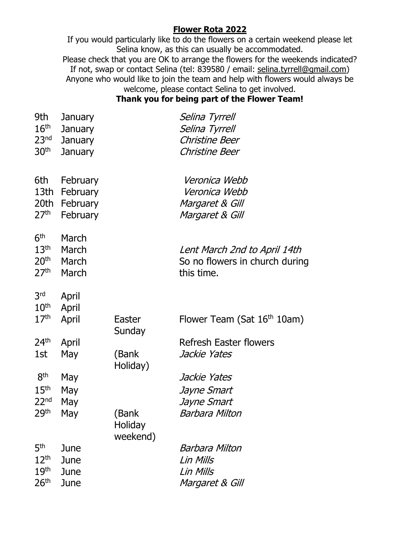## **Flower Rota 2022**

If you would particularly like to do the flowers on a certain weekend please let Selina know, as this can usually be accommodated. Please check that you are OK to arrange the flowers for the weekends indicated? If not, swap or contact Selina (tel: 839580 / email: [selina.](mailto:selina)tyrrell@gmail.com) Anyone who would like to join the team and help with flowers would always be welcome, please contact Selina to get involved.

### **Thank you for being part of the Flower Team!**

| 9th              | <b>January</b> | Selina Tyrrell |
|------------------|----------------|----------------|
| 16 <sup>th</sup> | January        | Selina Tyrrell |
| 23 <sup>nd</sup> | January        | Christine Beer |
| 30 <sup>th</sup> | January        | Christine Beer |
|                  |                |                |

| 6th<br>13th<br>20th<br>27 <sup>th</sup>                                     | February<br>February<br>February<br>February |                              | Veronica Webb<br>Veronica Webb<br>Margaret & Gill<br>Margaret & Gill         |
|-----------------------------------------------------------------------------|----------------------------------------------|------------------------------|------------------------------------------------------------------------------|
| 6 <sup>th</sup><br>13 <sup>th</sup><br>20 <sup>th</sup><br>27 <sup>th</sup> | March<br>March<br>March<br>March             |                              | Lent March 2nd to April 14th<br>So no flowers in church during<br>this time. |
| 3rd                                                                         | April                                        |                              |                                                                              |
| 10 <sup>th</sup>                                                            | April                                        |                              |                                                                              |
| 17 <sup>th</sup>                                                            | April                                        | Easter<br>Sunday             | Flower Team (Sat 16 <sup>th</sup> 10am)                                      |
| 24 <sup>th</sup>                                                            | April                                        |                              | <b>Refresh Easter flowers</b>                                                |
| 1st                                                                         | May                                          | (Bank<br>Holiday)            | Jackie Yates                                                                 |
| 8 <sup>th</sup>                                                             | May                                          |                              | Jackie Yates                                                                 |
| 15 <sup>th</sup>                                                            | May                                          |                              | Jayne Smart                                                                  |
| 22 <sub>nd</sub>                                                            | May                                          |                              | Jayne Smart                                                                  |
| 29 <sup>th</sup>                                                            | May                                          | (Bank<br>Holiday<br>weekend) | Barbara Milton                                                               |
| 5 <sup>th</sup>                                                             | June                                         |                              | Barbara Milton                                                               |
| 12 <sup>th</sup>                                                            | June                                         |                              | Lin Mills                                                                    |
| 19 <sup>th</sup>                                                            | June                                         |                              | Lin Mills                                                                    |
| 26 <sup>th</sup>                                                            | June                                         |                              | Margaret & Gill                                                              |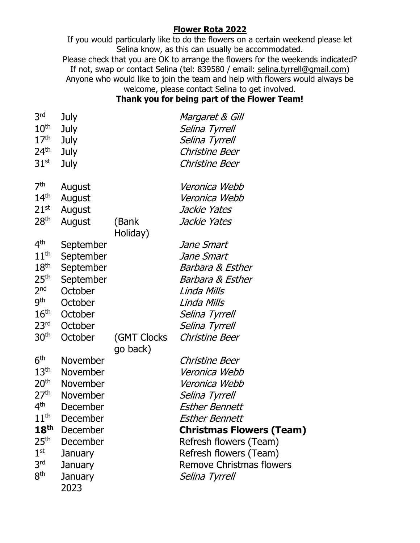## **Flower Rota 2022**

If you would particularly like to do the flowers on a certain weekend please let Selina know, as this can usually be accommodated. Please check that you are OK to arrange the flowers for the weekends indicated? If not, swap or contact Selina (tel: 839580 / email: [selina.](mailto:selina)tyrrell@gmail.com) Anyone who would like to join the team and help with flowers would always be welcome, please contact Selina to get involved.

#### **Thank you for being part of the Flower Team!**

| 3 <sup>rd</sup><br>10 <sup>th</sup><br>17 <sup>th</sup><br>24 <sup>th</sup><br>31 <sup>st</sup>                                                                                                               | July<br>July<br>July<br>July<br>July                                                                                                                       |                         | Margaret & Gill<br>Selina Tyrrell<br>Selina Tyrrell<br>Christine Beer<br>Christine Beer                                                                                                                                                                          |
|---------------------------------------------------------------------------------------------------------------------------------------------------------------------------------------------------------------|------------------------------------------------------------------------------------------------------------------------------------------------------------|-------------------------|------------------------------------------------------------------------------------------------------------------------------------------------------------------------------------------------------------------------------------------------------------------|
| 7 <sup>th</sup><br>$14^{\text{th}}$<br>$21^{st}$<br>28 <sup>th</sup>                                                                                                                                          | August<br>August<br>August<br>August                                                                                                                       | (Bank<br>Holiday)       | Veronica Webb<br>Veronica Webb<br>Jackie Yates<br>Jackie Yates                                                                                                                                                                                                   |
| 4 <sup>th</sup><br>11 <sup>th</sup><br>18 <sup>th</sup><br>25 <sup>th</sup><br>2 <sub>nd</sub><br>9 <sup>th</sup><br>$16^{\text{th}}$<br>23 <sup>rd</sup><br>30 <sup>th</sup>                                 | September<br>September<br>September<br>September<br>October<br>October<br>October<br>October<br>October                                                    | (GMT Clocks<br>go back) | Jane Smart<br>Jane Smart<br>Barbara & Esther<br>Barbara & Esther<br>Linda Mills<br>Linda Mills<br>Selina Tyrrell<br>Selina Tyrrell<br>Christine Beer                                                                                                             |
| 6 <sup>th</sup><br>$13^{\sf th}$<br>20 <sup>th</sup><br>27 <sup>th</sup><br>4 <sup>th</sup><br>$11^{\sf th}$<br>18 <sup>th</sup><br>25 <sup>th</sup><br>1 <sup>st</sup><br>3 <sup>rd</sup><br>8 <sup>th</sup> | <b>November</b><br>November<br>November<br><b>November</b><br>December<br>December<br>December<br>December<br>January<br><b>January</b><br>January<br>2023 |                         | Christine Beer<br>Veronica Webb<br>Veronica Webb<br>Selina Tyrrell<br><b>Esther Bennett</b><br><b>Esther Bennett</b><br><b>Christmas Flowers (Team)</b><br>Refresh flowers (Team)<br>Refresh flowers (Team)<br><b>Remove Christmas flowers</b><br>Selina Tyrrell |